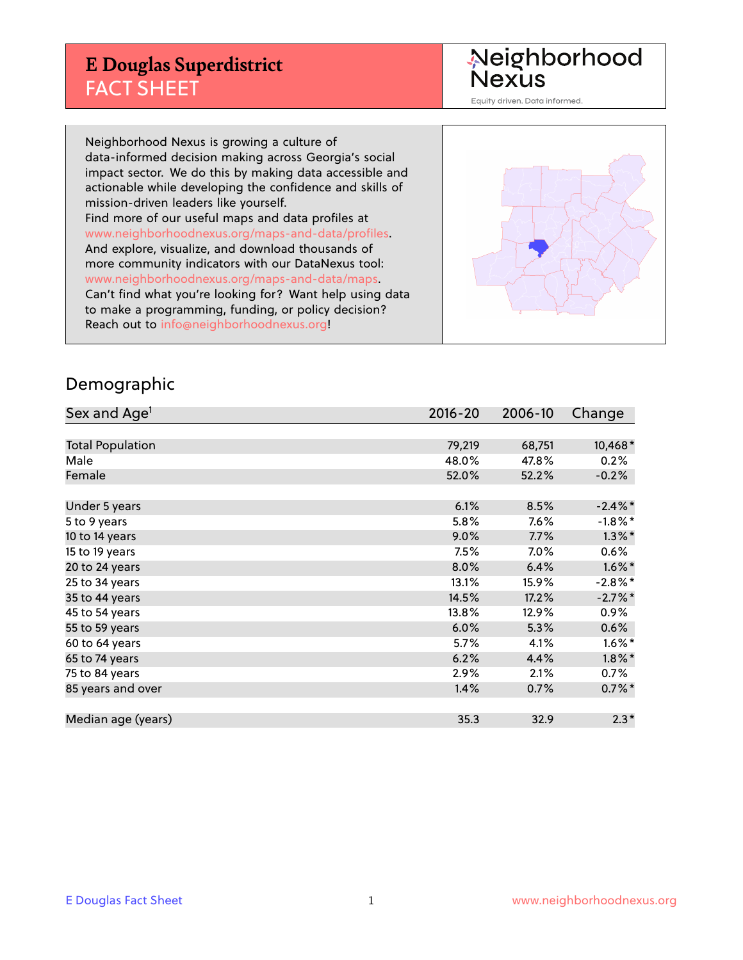# **E Douglas Superdistrict** FACT SHEET

Neighborhood<br>Nexus

Equity driven. Data informed.

Neighborhood Nexus is growing a culture of data-informed decision making across Georgia's social impact sector. We do this by making data accessible and actionable while developing the confidence and skills of mission-driven leaders like yourself. Find more of our useful maps and data profiles at www.neighborhoodnexus.org/maps-and-data/profiles. And explore, visualize, and download thousands of more community indicators with our DataNexus tool: www.neighborhoodnexus.org/maps-and-data/maps. Can't find what you're looking for? Want help using data to make a programming, funding, or policy decision? Reach out to [info@neighborhoodnexus.org!](mailto:info@neighborhoodnexus.org)



#### Demographic

| Sex and Age <sup>1</sup> | $2016 - 20$ | 2006-10 | Change     |
|--------------------------|-------------|---------|------------|
|                          |             |         |            |
| <b>Total Population</b>  | 79,219      | 68,751  | 10,468*    |
| Male                     | 48.0%       | 47.8%   | 0.2%       |
| Female                   | 52.0%       | 52.2%   | $-0.2%$    |
|                          |             |         |            |
| Under 5 years            | 6.1%        | 8.5%    | $-2.4\%$ * |
| 5 to 9 years             | 5.8%        | 7.6%    | $-1.8\%$ * |
| 10 to 14 years           | 9.0%        | 7.7%    | $1.3\%$ *  |
| 15 to 19 years           | 7.5%        | $7.0\%$ | 0.6%       |
| 20 to 24 years           | 8.0%        | 6.4%    | $1.6\%$ *  |
| 25 to 34 years           | 13.1%       | 15.9%   | $-2.8\%$ * |
| 35 to 44 years           | 14.5%       | 17.2%   | $-2.7%$ *  |
| 45 to 54 years           | 13.8%       | 12.9%   | $0.9\%$    |
| 55 to 59 years           | 6.0%        | 5.3%    | 0.6%       |
| 60 to 64 years           | 5.7%        | 4.1%    | $1.6\%$ *  |
| 65 to 74 years           | 6.2%        | 4.4%    | $1.8\%$ *  |
| 75 to 84 years           | $2.9\%$     | 2.1%    | $0.7\%$    |
| 85 years and over        | 1.4%        | 0.7%    | $0.7\%$ *  |
|                          |             |         |            |
| Median age (years)       | 35.3        | 32.9    | $2.3*$     |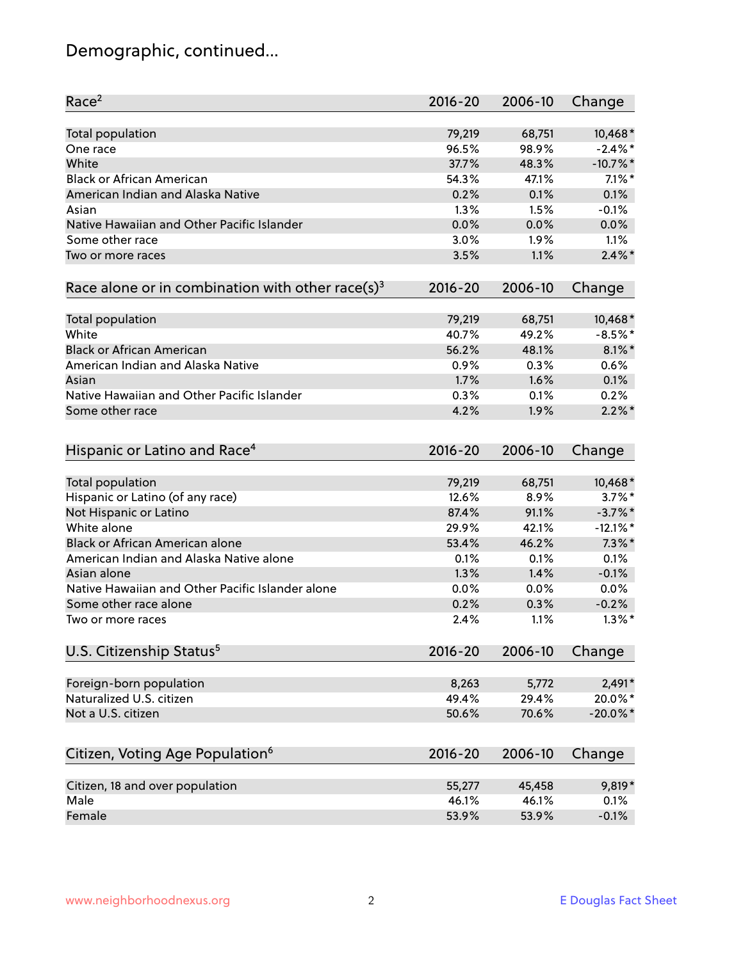# Demographic, continued...

| Race <sup>2</sup>                                            | $2016 - 20$ | 2006-10 | Change      |
|--------------------------------------------------------------|-------------|---------|-------------|
| <b>Total population</b>                                      | 79,219      | 68,751  | 10,468*     |
| One race                                                     | 96.5%       | 98.9%   | $-2.4\%$ *  |
| White                                                        | 37.7%       | 48.3%   | $-10.7%$ *  |
| <b>Black or African American</b>                             | 54.3%       | 47.1%   | $7.1\%$ *   |
| American Indian and Alaska Native                            | 0.2%        | 0.1%    | 0.1%        |
| Asian                                                        | 1.3%        | 1.5%    | $-0.1%$     |
| Native Hawaiian and Other Pacific Islander                   | 0.0%        | 0.0%    | 0.0%        |
| Some other race                                              | 3.0%        | 1.9%    | 1.1%        |
| Two or more races                                            | 3.5%        | 1.1%    | $2.4\%$ *   |
|                                                              |             |         |             |
| Race alone or in combination with other race(s) <sup>3</sup> | $2016 - 20$ | 2006-10 | Change      |
|                                                              | 79,219      | 68,751  | 10,468*     |
| Total population<br>White                                    | 40.7%       | 49.2%   | $-8.5%$ *   |
| <b>Black or African American</b>                             |             |         | $8.1\%$ *   |
| American Indian and Alaska Native                            | 56.2%       | 48.1%   |             |
|                                                              | 0.9%        | 0.3%    | 0.6%        |
| Asian                                                        | 1.7%        | 1.6%    | 0.1%        |
| Native Hawaiian and Other Pacific Islander                   | 0.3%        | 0.1%    | 0.2%        |
| Some other race                                              | 4.2%        | 1.9%    | $2.2\%$ *   |
| Hispanic or Latino and Race <sup>4</sup>                     | $2016 - 20$ | 2006-10 | Change      |
| <b>Total population</b>                                      | 79,219      | 68,751  | 10,468*     |
| Hispanic or Latino (of any race)                             | 12.6%       | 8.9%    | $3.7\%$ *   |
| Not Hispanic or Latino                                       | 87.4%       | 91.1%   | $-3.7\%$ *  |
| White alone                                                  | 29.9%       | 42.1%   | $-12.1\%$ * |
| Black or African American alone                              | 53.4%       | 46.2%   | $7.3\%$ *   |
| American Indian and Alaska Native alone                      | 0.1%        | 0.1%    | 0.1%        |
| Asian alone                                                  | 1.3%        | 1.4%    | $-0.1%$     |
| Native Hawaiian and Other Pacific Islander alone             | 0.0%        | 0.0%    | $0.0\%$     |
| Some other race alone                                        | 0.2%        | 0.3%    | $-0.2%$     |
| Two or more races                                            | 2.4%        | 1.1%    | $1.3\%$ *   |
|                                                              |             |         |             |
| U.S. Citizenship Status <sup>5</sup>                         | $2016 - 20$ | 2006-10 | Change      |
| Foreign-born population                                      | 8,263       | 5,772   | $2,491*$    |
| Naturalized U.S. citizen                                     | 49.4%       | 29.4%   | 20.0%*      |
| Not a U.S. citizen                                           | 50.6%       | 70.6%   | $-20.0\%$ * |
|                                                              |             |         |             |
| Citizen, Voting Age Population <sup>6</sup>                  | 2016-20     | 2006-10 | Change      |
| Citizen, 18 and over population                              | 55,277      | 45,458  | 9,819*      |
| Male                                                         | 46.1%       | 46.1%   | 0.1%        |
| Female                                                       | 53.9%       | 53.9%   | $-0.1%$     |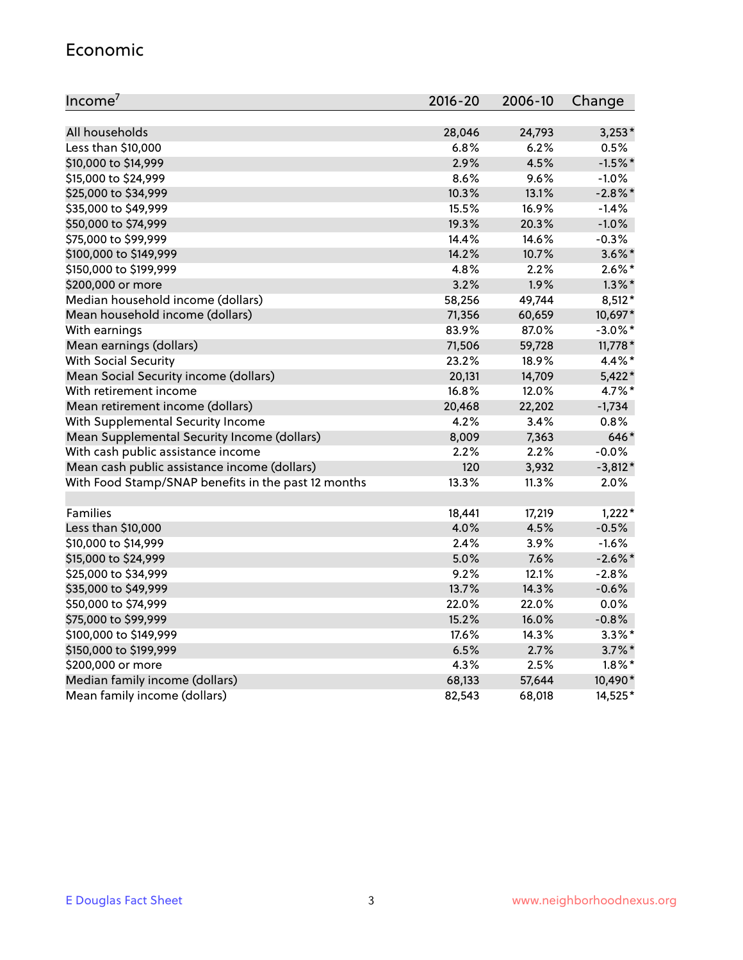#### Economic

| Income <sup>7</sup>                                 | $2016 - 20$ | 2006-10 | Change     |
|-----------------------------------------------------|-------------|---------|------------|
|                                                     |             |         |            |
| All households                                      | 28,046      | 24,793  | $3,253*$   |
| Less than \$10,000                                  | 6.8%        | 6.2%    | 0.5%       |
| \$10,000 to \$14,999                                | 2.9%        | 4.5%    | $-1.5%$ *  |
| \$15,000 to \$24,999                                | 8.6%        | 9.6%    | $-1.0%$    |
| \$25,000 to \$34,999                                | 10.3%       | 13.1%   | $-2.8\%$ * |
| \$35,000 to \$49,999                                | 15.5%       | 16.9%   | $-1.4%$    |
| \$50,000 to \$74,999                                | 19.3%       | 20.3%   | $-1.0%$    |
| \$75,000 to \$99,999                                | 14.4%       | 14.6%   | $-0.3%$    |
| \$100,000 to \$149,999                              | 14.2%       | 10.7%   | $3.6\%$ *  |
| \$150,000 to \$199,999                              | 4.8%        | 2.2%    | $2.6\%$ *  |
| \$200,000 or more                                   | 3.2%        | 1.9%    | $1.3\%$ *  |
| Median household income (dollars)                   | 58,256      | 49,744  | $8,512*$   |
| Mean household income (dollars)                     | 71,356      | 60,659  | 10,697*    |
| With earnings                                       | 83.9%       | 87.0%   | $-3.0\%$ * |
| Mean earnings (dollars)                             | 71,506      | 59,728  | 11,778 *   |
| <b>With Social Security</b>                         | 23.2%       | 18.9%   | 4.4%*      |
| Mean Social Security income (dollars)               | 20,131      | 14,709  | $5,422*$   |
| With retirement income                              | 16.8%       | 12.0%   | 4.7%*      |
| Mean retirement income (dollars)                    | 20,468      | 22,202  | $-1,734$   |
| With Supplemental Security Income                   | 4.2%        | 3.4%    | 0.8%       |
| Mean Supplemental Security Income (dollars)         | 8,009       | 7,363   | 646*       |
| With cash public assistance income                  | 2.2%        | 2.2%    | $-0.0%$    |
| Mean cash public assistance income (dollars)        | 120         | 3,932   | $-3,812*$  |
| With Food Stamp/SNAP benefits in the past 12 months | 13.3%       | 11.3%   | 2.0%       |
|                                                     |             |         |            |
| Families                                            | 18,441      | 17,219  | $1,222*$   |
| Less than \$10,000                                  | 4.0%        | 4.5%    | $-0.5%$    |
| \$10,000 to \$14,999                                | 2.4%        | 3.9%    | $-1.6%$    |
| \$15,000 to \$24,999                                | 5.0%        | 7.6%    | $-2.6\%$ * |
| \$25,000 to \$34,999                                | 9.2%        | 12.1%   | $-2.8%$    |
| \$35,000 to \$49,999                                | 13.7%       | 14.3%   | $-0.6%$    |
| \$50,000 to \$74,999                                | 22.0%       | 22.0%   | 0.0%       |
| \$75,000 to \$99,999                                | 15.2%       | 16.0%   | $-0.8%$    |
| \$100,000 to \$149,999                              | 17.6%       | 14.3%   | $3.3\%$ *  |
| \$150,000 to \$199,999                              | 6.5%        | 2.7%    | $3.7\%$ *  |
| \$200,000 or more                                   | 4.3%        | 2.5%    | $1.8\%$ *  |
| Median family income (dollars)                      | 68,133      | 57,644  | 10,490*    |
| Mean family income (dollars)                        | 82,543      | 68,018  | 14,525*    |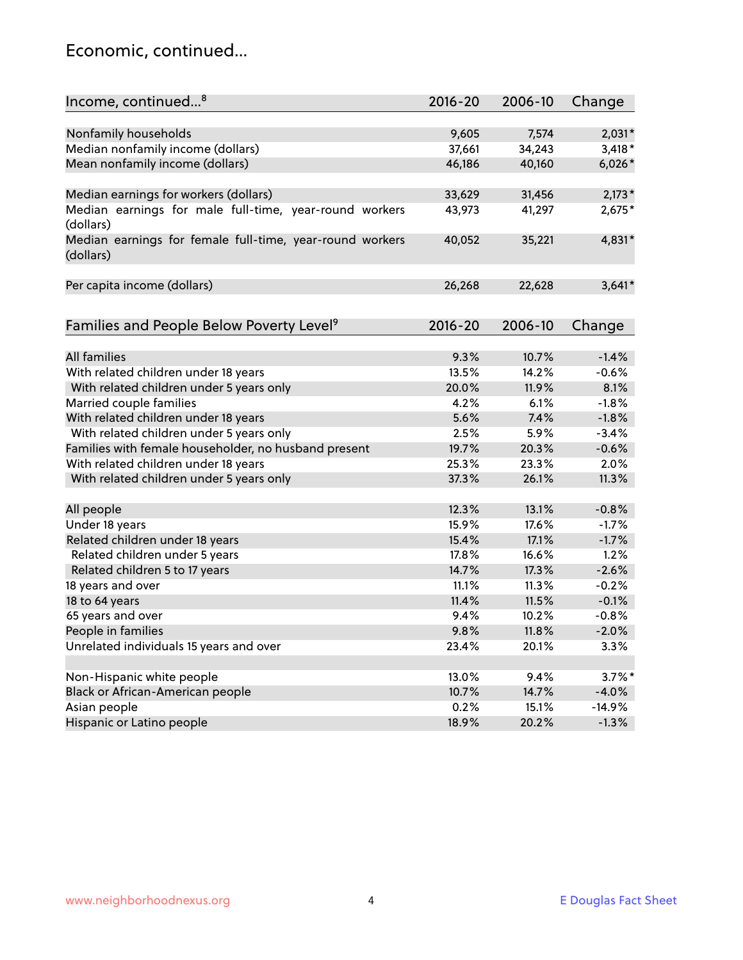### Economic, continued...

| Income, continued <sup>8</sup>                                        | $2016 - 20$ | 2006-10 | Change    |
|-----------------------------------------------------------------------|-------------|---------|-----------|
|                                                                       |             |         |           |
| Nonfamily households                                                  | 9,605       | 7,574   | $2,031*$  |
| Median nonfamily income (dollars)                                     | 37,661      | 34,243  | $3,418*$  |
| Mean nonfamily income (dollars)                                       | 46,186      | 40,160  | $6,026*$  |
| Median earnings for workers (dollars)                                 | 33,629      | 31,456  | $2,173*$  |
| Median earnings for male full-time, year-round workers                | 43,973      | 41,297  | 2,675*    |
| (dollars)                                                             |             |         |           |
| Median earnings for female full-time, year-round workers<br>(dollars) | 40,052      | 35,221  | 4,831*    |
| Per capita income (dollars)                                           | 26,268      | 22,628  | $3,641*$  |
|                                                                       |             |         |           |
| Families and People Below Poverty Level <sup>9</sup>                  | 2016-20     | 2006-10 | Change    |
|                                                                       |             |         |           |
| All families                                                          | 9.3%        | 10.7%   | $-1.4%$   |
| With related children under 18 years                                  | 13.5%       | 14.2%   | $-0.6%$   |
| With related children under 5 years only                              | 20.0%       | 11.9%   | 8.1%      |
| Married couple families                                               | 4.2%        | 6.1%    | $-1.8%$   |
| With related children under 18 years                                  | 5.6%        | 7.4%    | $-1.8%$   |
| With related children under 5 years only                              | 2.5%        | 5.9%    | $-3.4%$   |
| Families with female householder, no husband present                  | 19.7%       | 20.3%   | $-0.6%$   |
| With related children under 18 years                                  | 25.3%       | 23.3%   | 2.0%      |
| With related children under 5 years only                              | 37.3%       | 26.1%   | 11.3%     |
| All people                                                            | 12.3%       | 13.1%   | $-0.8%$   |
| Under 18 years                                                        | 15.9%       | 17.6%   | $-1.7%$   |
| Related children under 18 years                                       | 15.4%       | 17.1%   | $-1.7%$   |
| Related children under 5 years                                        | 17.8%       | 16.6%   | 1.2%      |
| Related children 5 to 17 years                                        | 14.7%       | 17.3%   | $-2.6%$   |
| 18 years and over                                                     | 11.1%       | 11.3%   | $-0.2%$   |
| 18 to 64 years                                                        | 11.4%       | 11.5%   | $-0.1%$   |
| 65 years and over                                                     | 9.4%        | 10.2%   | $-0.8%$   |
| People in families                                                    | 9.8%        | 11.8%   | $-2.0%$   |
| Unrelated individuals 15 years and over                               | 23.4%       | 20.1%   | 3.3%      |
|                                                                       |             |         |           |
| Non-Hispanic white people                                             | 13.0%       | 9.4%    | $3.7\%$ * |
| Black or African-American people                                      | 10.7%       | 14.7%   | $-4.0%$   |
| Asian people                                                          | 0.2%        | 15.1%   | $-14.9%$  |
| Hispanic or Latino people                                             | 18.9%       | 20.2%   | $-1.3%$   |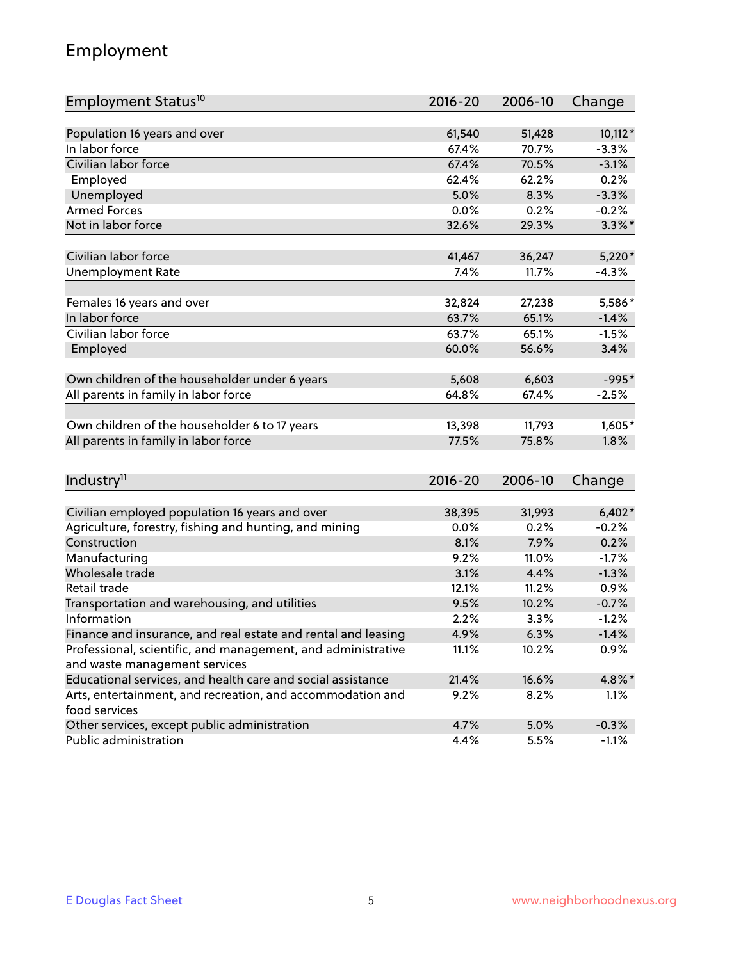# Employment

| Employment Status <sup>10</sup>                               | $2016 - 20$ | 2006-10 | Change    |
|---------------------------------------------------------------|-------------|---------|-----------|
|                                                               |             |         |           |
| Population 16 years and over                                  | 61,540      | 51,428  | 10,112*   |
| In labor force                                                | 67.4%       | 70.7%   | $-3.3%$   |
| Civilian labor force                                          | 67.4%       | 70.5%   | $-3.1%$   |
| Employed                                                      | 62.4%       | 62.2%   | 0.2%      |
| Unemployed                                                    | 5.0%        | 8.3%    | $-3.3%$   |
| <b>Armed Forces</b>                                           | 0.0%        | 0.2%    | $-0.2%$   |
| Not in labor force                                            | 32.6%       | 29.3%   | $3.3\%$ * |
| Civilian labor force                                          | 41,467      | 36,247  | $5,220*$  |
| <b>Unemployment Rate</b>                                      | 7.4%        | 11.7%   | $-4.3%$   |
|                                                               |             |         |           |
| Females 16 years and over                                     | 32,824      | 27,238  | 5,586*    |
| In labor force                                                | 63.7%       | 65.1%   | $-1.4%$   |
| Civilian labor force                                          | 63.7%       | 65.1%   | $-1.5%$   |
| Employed                                                      | 60.0%       | 56.6%   | 3.4%      |
| Own children of the householder under 6 years                 | 5,608       | 6,603   | $-995*$   |
| All parents in family in labor force                          | 64.8%       | 67.4%   | $-2.5%$   |
|                                                               |             |         |           |
| Own children of the householder 6 to 17 years                 | 13,398      | 11,793  | $1,605*$  |
| All parents in family in labor force                          | 77.5%       | 75.8%   | 1.8%      |
|                                                               |             |         |           |
| Industry <sup>11</sup>                                        | $2016 - 20$ | 2006-10 | Change    |
| Civilian employed population 16 years and over                | 38,395      | 31,993  | $6,402*$  |
| Agriculture, forestry, fishing and hunting, and mining        | 0.0%        | 0.2%    | $-0.2%$   |
| Construction                                                  | 8.1%        | 7.9%    | 0.2%      |
| Manufacturing                                                 | 9.2%        | 11.0%   | $-1.7%$   |
| Wholesale trade                                               | 3.1%        | 4.4%    | $-1.3%$   |
| Retail trade                                                  | 12.1%       | 11.2%   | 0.9%      |
| Transportation and warehousing, and utilities                 | 9.5%        | 10.2%   | $-0.7%$   |
| Information                                                   | 2.2%        | 3.3%    | $-1.2%$   |
| Finance and insurance, and real estate and rental and leasing | 4.9%        | 6.3%    | $-1.4%$   |
| Professional, scientific, and management, and administrative  | 11.1%       | 10.2%   | 0.9%      |
| and waste management services                                 |             |         |           |
| Educational services, and health care and social assistance   | 21.4%       | 16.6%   | 4.8%*     |
| Arts, entertainment, and recreation, and accommodation and    | 9.2%        | 8.2%    | 1.1%      |
| food services                                                 |             |         |           |
| Other services, except public administration                  | 4.7%        | 5.0%    | $-0.3%$   |
| Public administration                                         | 4.4%        | 5.5%    | $-1.1%$   |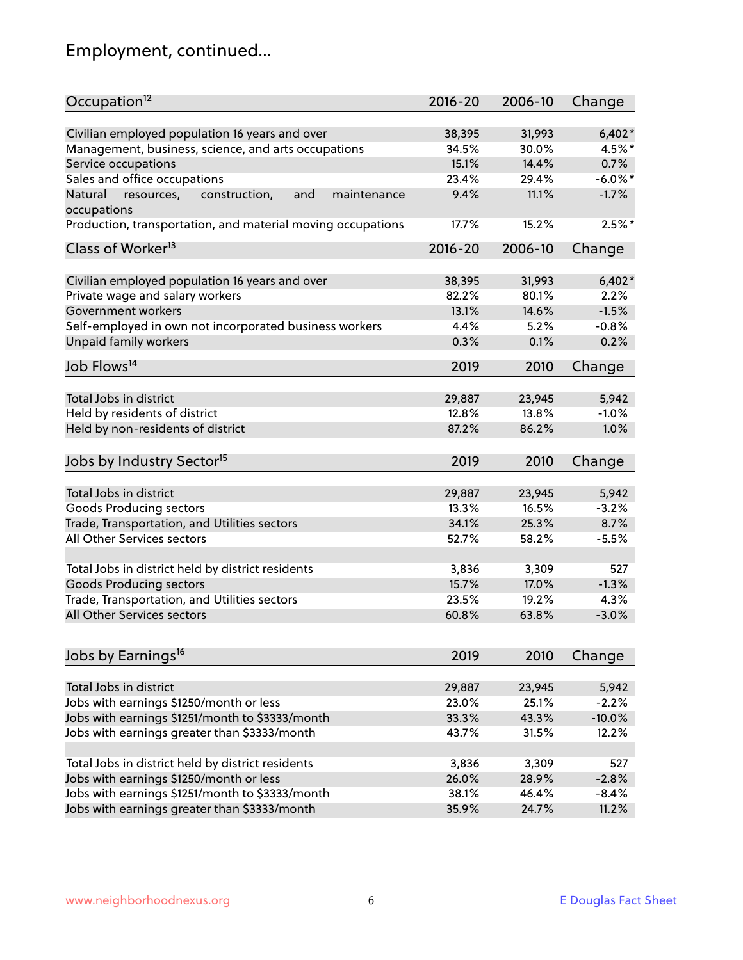# Employment, continued...

| Occupation <sup>12</sup>                                     | $2016 - 20$ | 2006-10 | Change     |
|--------------------------------------------------------------|-------------|---------|------------|
| Civilian employed population 16 years and over               | 38,395      | 31,993  | $6,402*$   |
| Management, business, science, and arts occupations          | 34.5%       | 30.0%   | 4.5%*      |
| Service occupations                                          | 15.1%       | 14.4%   | 0.7%       |
| Sales and office occupations                                 | 23.4%       | 29.4%   | $-6.0\%$ * |
| Natural<br>and<br>resources,<br>construction,<br>maintenance | 9.4%        | 11.1%   | $-1.7%$    |
| occupations                                                  |             |         |            |
| Production, transportation, and material moving occupations  | 17.7%       | 15.2%   | $2.5%$ *   |
| Class of Worker <sup>13</sup>                                | $2016 - 20$ | 2006-10 | Change     |
|                                                              |             |         |            |
| Civilian employed population 16 years and over               | 38,395      | 31,993  | $6,402*$   |
| Private wage and salary workers                              | 82.2%       | 80.1%   | 2.2%       |
| Government workers                                           | 13.1%       | 14.6%   | $-1.5%$    |
| Self-employed in own not incorporated business workers       | 4.4%        | 5.2%    | $-0.8%$    |
| Unpaid family workers                                        | 0.3%        | 0.1%    | 0.2%       |
| Job Flows <sup>14</sup>                                      | 2019        | 2010    | Change     |
|                                                              |             |         |            |
| Total Jobs in district                                       | 29,887      | 23,945  | 5,942      |
| Held by residents of district                                | 12.8%       | 13.8%   | $-1.0%$    |
| Held by non-residents of district                            | 87.2%       | 86.2%   | 1.0%       |
| Jobs by Industry Sector <sup>15</sup>                        | 2019        | 2010    | Change     |
|                                                              |             |         |            |
| Total Jobs in district                                       | 29,887      | 23,945  | 5,942      |
| Goods Producing sectors                                      | 13.3%       | 16.5%   | $-3.2%$    |
| Trade, Transportation, and Utilities sectors                 | 34.1%       | 25.3%   | 8.7%       |
| All Other Services sectors                                   | 52.7%       | 58.2%   | $-5.5%$    |
| Total Jobs in district held by district residents            | 3,836       | 3,309   | 527        |
|                                                              |             |         |            |
| <b>Goods Producing sectors</b>                               | 15.7%       | 17.0%   | $-1.3%$    |
| Trade, Transportation, and Utilities sectors                 | 23.5%       | 19.2%   | 4.3%       |
| All Other Services sectors                                   | 60.8%       | 63.8%   | $-3.0%$    |
| Jobs by Earnings <sup>16</sup>                               | 2019        | 2010    | Change     |
|                                                              |             |         |            |
| Total Jobs in district                                       | 29,887      | 23,945  | 5,942      |
| Jobs with earnings \$1250/month or less                      | 23.0%       | 25.1%   | $-2.2%$    |
| Jobs with earnings \$1251/month to \$3333/month              | 33.3%       | 43.3%   | $-10.0%$   |
| Jobs with earnings greater than \$3333/month                 | 43.7%       | 31.5%   | 12.2%      |
|                                                              |             |         |            |
| Total Jobs in district held by district residents            | 3,836       | 3,309   | 527        |
| Jobs with earnings \$1250/month or less                      | 26.0%       | 28.9%   | $-2.8%$    |
| Jobs with earnings \$1251/month to \$3333/month              | 38.1%       | 46.4%   | $-8.4%$    |
| Jobs with earnings greater than \$3333/month                 | 35.9%       | 24.7%   | 11.2%      |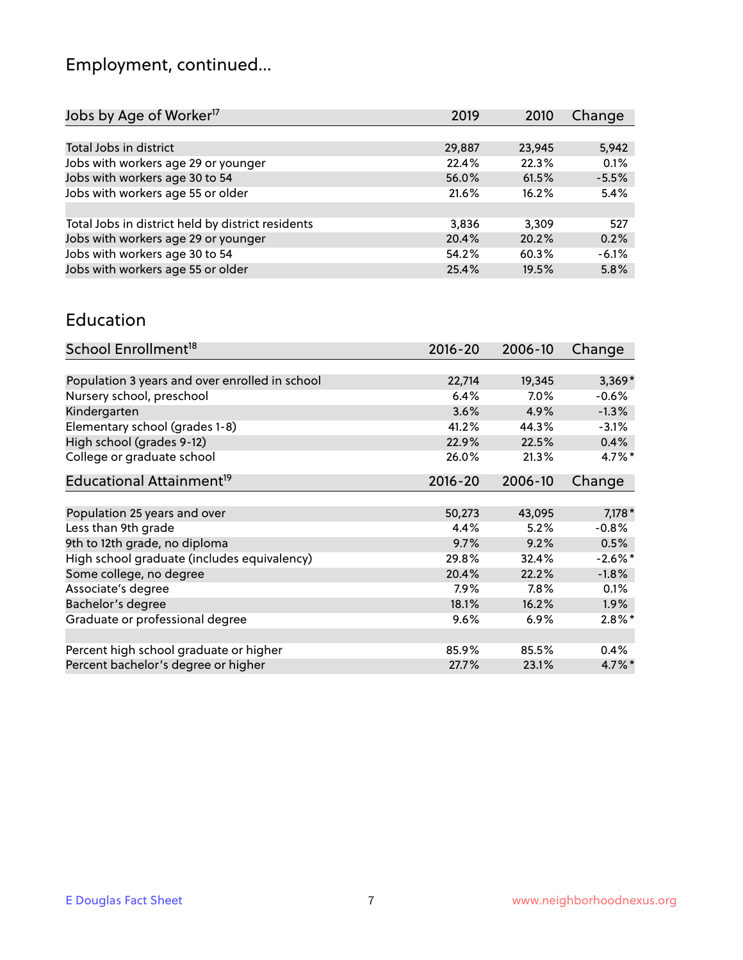# Employment, continued...

| Jobs by Age of Worker <sup>17</sup>               | 2019   | 2010   | Change  |
|---------------------------------------------------|--------|--------|---------|
|                                                   |        |        |         |
| Total Jobs in district                            | 29,887 | 23,945 | 5,942   |
| Jobs with workers age 29 or younger               | 22.4%  | 22.3%  | 0.1%    |
| Jobs with workers age 30 to 54                    | 56.0%  | 61.5%  | $-5.5%$ |
| Jobs with workers age 55 or older                 | 21.6%  | 16.2%  | 5.4%    |
|                                                   |        |        |         |
| Total Jobs in district held by district residents | 3,836  | 3.309  | 527     |
| Jobs with workers age 29 or younger               | 20.4%  | 20.2%  | 0.2%    |
| Jobs with workers age 30 to 54                    | 54.2%  | 60.3%  | $-6.1%$ |
| Jobs with workers age 55 or older                 | 25.4%  | 19.5%  | 5.8%    |
|                                                   |        |        |         |

#### Education

| School Enrollment <sup>18</sup>                | $2016 - 20$ | 2006-10 | Change     |
|------------------------------------------------|-------------|---------|------------|
|                                                |             |         |            |
| Population 3 years and over enrolled in school | 22,714      | 19,345  | $3,369*$   |
| Nursery school, preschool                      | 6.4%        | $7.0\%$ | $-0.6%$    |
| Kindergarten                                   | 3.6%        | 4.9%    | $-1.3%$    |
| Elementary school (grades 1-8)                 | 41.2%       | 44.3%   | $-3.1%$    |
| High school (grades 9-12)                      | 22.9%       | 22.5%   | 0.4%       |
| College or graduate school                     | 26.0%       | 21.3%   | $4.7\%$ *  |
| Educational Attainment <sup>19</sup>           | $2016 - 20$ | 2006-10 | Change     |
|                                                |             |         |            |
| Population 25 years and over                   | 50,273      | 43,095  | $7,178*$   |
| Less than 9th grade                            | 4.4%        | 5.2%    | $-0.8%$    |
| 9th to 12th grade, no diploma                  | 9.7%        | 9.2%    | 0.5%       |
| High school graduate (includes equivalency)    | 29.8%       | 32.4%   | $-2.6\%$ * |
| Some college, no degree                        | 20.4%       | 22.2%   | $-1.8%$    |
| Associate's degree                             | $7.9\%$     | 7.8%    | $0.1\%$    |
| Bachelor's degree                              | 18.1%       | 16.2%   | $1.9\%$    |
| Graduate or professional degree                | 9.6%        | 6.9%    | $2.8\%$ *  |
|                                                |             |         |            |
| Percent high school graduate or higher         | 85.9%       | 85.5%   | 0.4%       |
| Percent bachelor's degree or higher            | 27.7%       | 23.1%   | $4.7\%$ *  |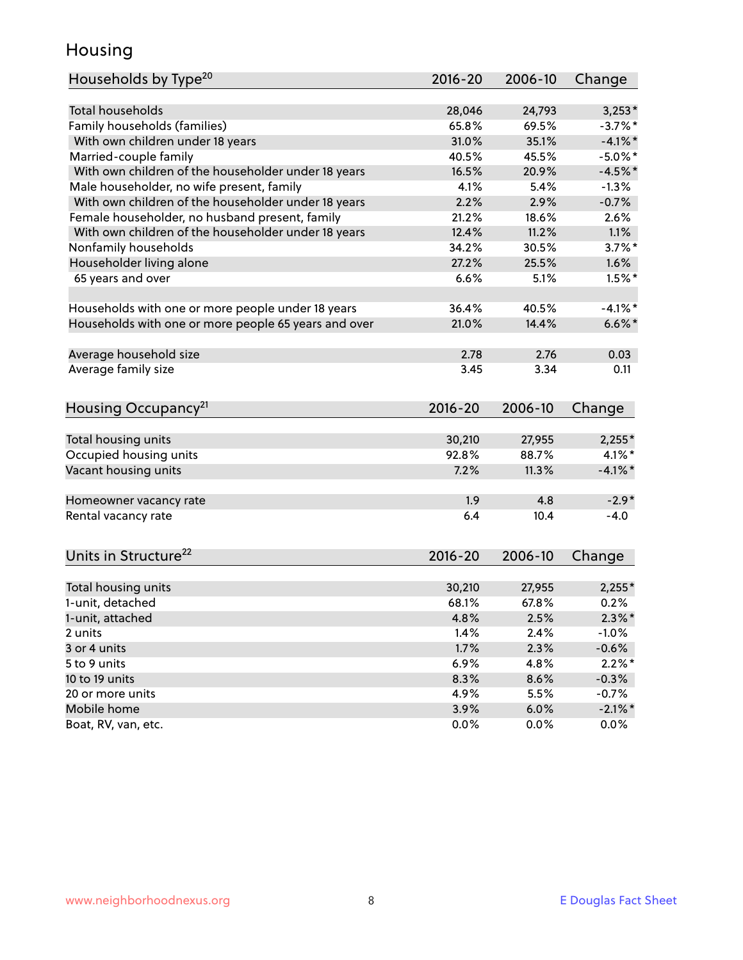### Housing

| Households by Type <sup>20</sup>                     | 2016-20     | 2006-10 | Change     |
|------------------------------------------------------|-------------|---------|------------|
|                                                      |             |         |            |
| <b>Total households</b>                              | 28,046      | 24,793  | $3,253*$   |
| Family households (families)                         | 65.8%       | 69.5%   | $-3.7%$ *  |
| With own children under 18 years                     | 31.0%       | 35.1%   | $-4.1\%$ * |
| Married-couple family                                | 40.5%       | 45.5%   | $-5.0\%$ * |
| With own children of the householder under 18 years  | 16.5%       | 20.9%   | $-4.5%$ *  |
| Male householder, no wife present, family            | 4.1%        | 5.4%    | $-1.3%$    |
| With own children of the householder under 18 years  | 2.2%        | 2.9%    | $-0.7%$    |
| Female householder, no husband present, family       | 21.2%       | 18.6%   | 2.6%       |
| With own children of the householder under 18 years  | 12.4%       | 11.2%   | 1.1%       |
| Nonfamily households                                 | 34.2%       | 30.5%   | $3.7\%$ *  |
| Householder living alone                             | 27.2%       | 25.5%   | 1.6%       |
| 65 years and over                                    | 6.6%        | 5.1%    | $1.5%$ *   |
|                                                      |             |         |            |
| Households with one or more people under 18 years    | 36.4%       | 40.5%   | $-4.1%$    |
| Households with one or more people 65 years and over | 21.0%       | 14.4%   | $6.6\%$ *  |
|                                                      |             |         |            |
| Average household size                               | 2.78        | 2.76    | 0.03       |
| Average family size                                  | 3.45        | 3.34    | 0.11       |
|                                                      |             |         |            |
| Housing Occupancy <sup>21</sup>                      | $2016 - 20$ | 2006-10 | Change     |
|                                                      |             |         |            |
| Total housing units                                  | 30,210      | 27,955  | $2,255*$   |
| Occupied housing units                               | 92.8%       | 88.7%   | $4.1\%$ *  |
| Vacant housing units                                 | 7.2%        | 11.3%   | $-4.1\%$ * |
|                                                      |             |         |            |
| Homeowner vacancy rate                               | 1.9         | 4.8     | $-2.9*$    |
| Rental vacancy rate                                  | 6.4         | 10.4    | $-4.0$     |
|                                                      |             |         |            |
|                                                      |             |         |            |
| Units in Structure <sup>22</sup>                     | $2016 - 20$ | 2006-10 | Change     |
|                                                      |             |         |            |
| Total housing units                                  | 30,210      | 27,955  | $2,255*$   |
| 1-unit, detached                                     | 68.1%       | 67.8%   | 0.2%       |
| 1-unit, attached                                     | 4.8%        | 2.5%    | $2.3\%*$   |
| 2 units                                              | 1.4%        | 2.4%    | $-1.0%$    |
| 3 or 4 units                                         | 1.7%        | 2.3%    | $-0.6%$    |
| 5 to 9 units                                         | 6.9%        | 4.8%    | $2.2\%$ *  |
| 10 to 19 units                                       | 8.3%        | 8.6%    | $-0.3%$    |
| 20 or more units                                     | 4.9%        | 5.5%    | $-0.7%$    |
| Mobile home                                          | 3.9%        | 6.0%    | $-2.1\%$ * |
| Boat, RV, van, etc.                                  | 0.0%        | 0.0%    | $0.0\%$    |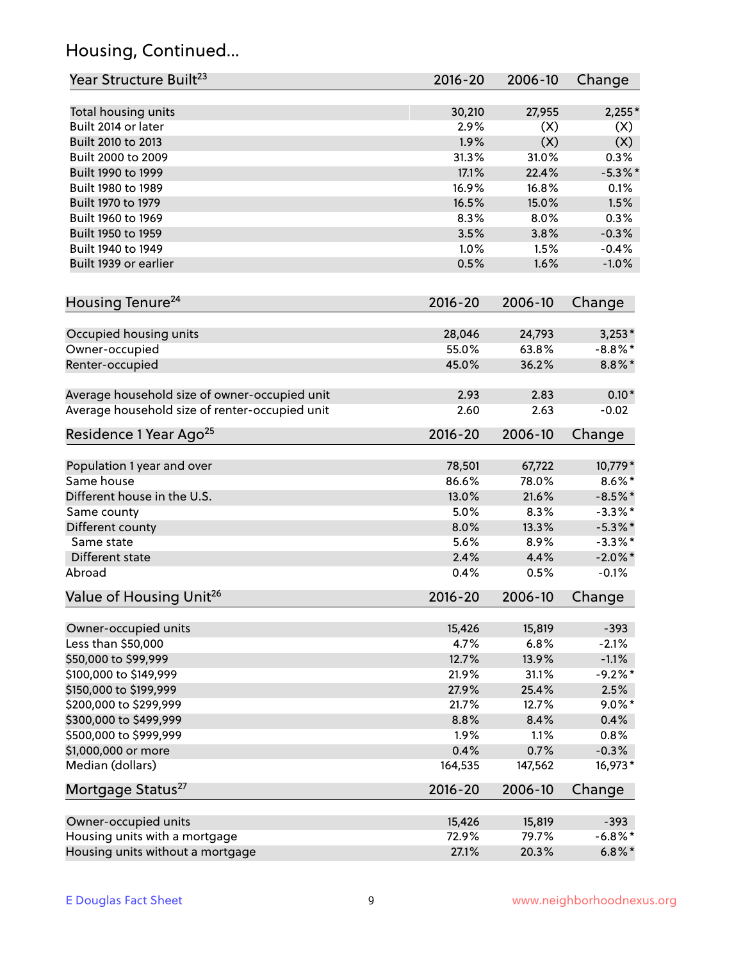# Housing, Continued...

| Year Structure Built <sup>23</sup>             | 2016-20     | 2006-10 | Change     |
|------------------------------------------------|-------------|---------|------------|
| Total housing units                            | 30,210      | 27,955  | $2,255*$   |
| Built 2014 or later                            | 2.9%        | (X)     | (X)        |
| Built 2010 to 2013                             | 1.9%        | (X)     | (X)        |
| Built 2000 to 2009                             | 31.3%       | 31.0%   | 0.3%       |
| Built 1990 to 1999                             | 17.1%       | 22.4%   | $-5.3\%$ * |
| Built 1980 to 1989                             | 16.9%       | 16.8%   | 0.1%       |
| Built 1970 to 1979                             | 16.5%       | 15.0%   | 1.5%       |
| Built 1960 to 1969                             | 8.3%        | 8.0%    | 0.3%       |
| Built 1950 to 1959                             | 3.5%        | 3.8%    | $-0.3%$    |
| Built 1940 to 1949                             | 1.0%        | 1.5%    | $-0.4%$    |
| Built 1939 or earlier                          | 0.5%        | 1.6%    | $-1.0%$    |
| Housing Tenure <sup>24</sup>                   | $2016 - 20$ | 2006-10 | Change     |
|                                                |             |         |            |
| Occupied housing units                         | 28,046      | 24,793  | $3,253*$   |
| Owner-occupied                                 | 55.0%       | 63.8%   | $-8.8\%$ * |
| Renter-occupied                                | 45.0%       | 36.2%   | $8.8\%$ *  |
| Average household size of owner-occupied unit  | 2.93        | 2.83    | $0.10*$    |
| Average household size of renter-occupied unit | 2.60        | 2.63    | $-0.02$    |
| Residence 1 Year Ago <sup>25</sup>             | $2016 - 20$ | 2006-10 | Change     |
|                                                |             |         |            |
| Population 1 year and over                     | 78,501      | 67,722  | 10,779 *   |
| Same house                                     | 86.6%       | 78.0%   | $8.6\%$ *  |
| Different house in the U.S.                    | 13.0%       | 21.6%   | $-8.5%$ *  |
| Same county                                    | 5.0%        | 8.3%    | $-3.3\%$ * |
| Different county                               | 8.0%        | 13.3%   | $-5.3\%$ * |
| Same state                                     | 5.6%        | 8.9%    | $-3.3\%$ * |
| Different state                                | 2.4%        | 4.4%    | $-2.0\%$ * |
| Abroad                                         | 0.4%        | 0.5%    | $-0.1%$    |
| Value of Housing Unit <sup>26</sup>            | $2016 - 20$ | 2006-10 | Change     |
| Owner-occupied units                           | 15,426      | 15,819  | $-393$     |
| Less than \$50,000                             | 4.7%        | 6.8%    | $-2.1%$    |
| \$50,000 to \$99,999                           | 12.7%       | 13.9%   | $-1.1%$    |
| \$100,000 to \$149,999                         | 21.9%       | 31.1%   | $-9.2%$ *  |
| \$150,000 to \$199,999                         | 27.9%       | 25.4%   | 2.5%       |
| \$200,000 to \$299,999                         | 21.7%       | 12.7%   | $9.0\%$ *  |
| \$300,000 to \$499,999                         | 8.8%        | 8.4%    | 0.4%       |
| \$500,000 to \$999,999                         | 1.9%        | 1.1%    | 0.8%       |
| \$1,000,000 or more                            | 0.4%        | 0.7%    | $-0.3%$    |
| Median (dollars)                               | 164,535     | 147,562 | 16,973*    |
| Mortgage Status <sup>27</sup>                  | $2016 - 20$ | 2006-10 | Change     |
| Owner-occupied units                           | 15,426      | 15,819  | $-393$     |
| Housing units with a mortgage                  | 72.9%       | 79.7%   | $-6.8\%$ * |
| Housing units without a mortgage               | 27.1%       | 20.3%   | $6.8\%$ *  |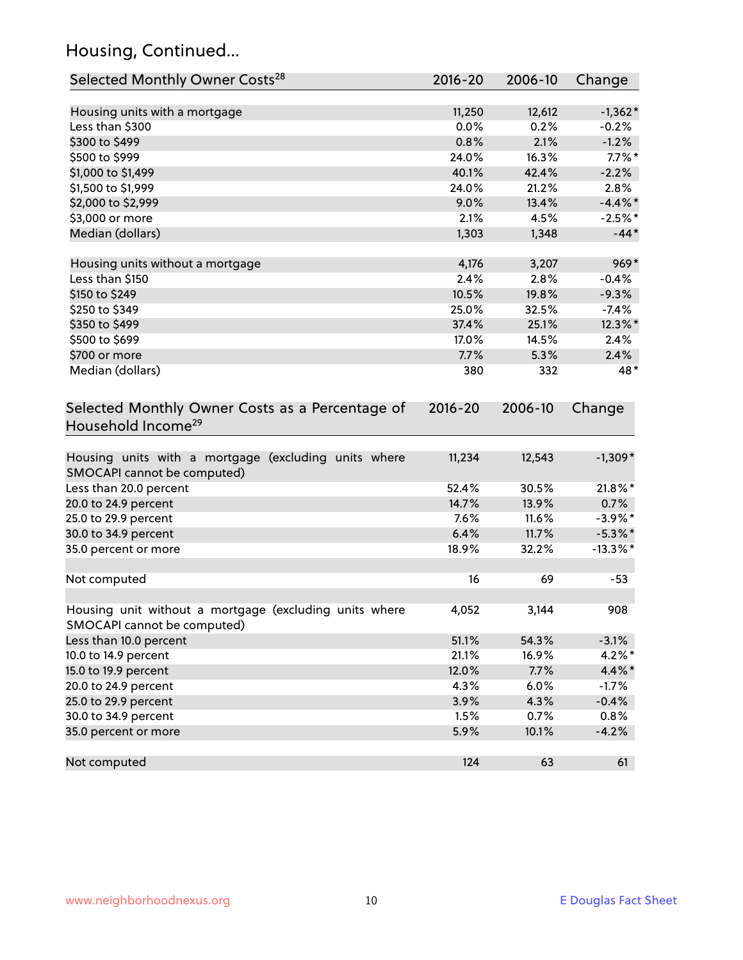# Housing, Continued...

| Selected Monthly Owner Costs <sup>28</sup>                                            | 2016-20     | 2006-10 | Change      |
|---------------------------------------------------------------------------------------|-------------|---------|-------------|
| Housing units with a mortgage                                                         | 11,250      | 12,612  | $-1,362*$   |
| Less than \$300                                                                       | 0.0%        | 0.2%    | $-0.2%$     |
| \$300 to \$499                                                                        | 0.8%        | 2.1%    | $-1.2%$     |
| \$500 to \$999                                                                        | 24.0%       | 16.3%   | $7.7\%$ *   |
| \$1,000 to \$1,499                                                                    | 40.1%       | 42.4%   | $-2.2%$     |
| \$1,500 to \$1,999                                                                    | 24.0%       | 21.2%   | 2.8%        |
| \$2,000 to \$2,999                                                                    | 9.0%        | 13.4%   | $-4.4\%$ *  |
| \$3,000 or more                                                                       | 2.1%        | 4.5%    | $-2.5%$ *   |
| Median (dollars)                                                                      | 1,303       | 1,348   | $-44*$      |
| Housing units without a mortgage                                                      | 4,176       | 3,207   | $969*$      |
| Less than \$150                                                                       | 2.4%        | 2.8%    | $-0.4%$     |
| \$150 to \$249                                                                        | 10.5%       | 19.8%   | $-9.3%$     |
| \$250 to \$349                                                                        | 25.0%       | 32.5%   | $-7.4%$     |
| \$350 to \$499                                                                        | 37.4%       | 25.1%   | 12.3%*      |
| \$500 to \$699                                                                        | 17.0%       | 14.5%   | 2.4%        |
| \$700 or more                                                                         | 7.7%        | 5.3%    | 2.4%        |
| Median (dollars)                                                                      | 380         | 332     | 48*         |
| Selected Monthly Owner Costs as a Percentage of<br>Household Income <sup>29</sup>     | $2016 - 20$ | 2006-10 | Change      |
| Housing units with a mortgage (excluding units where<br>SMOCAPI cannot be computed)   | 11,234      | 12,543  | $-1,309*$   |
| Less than 20.0 percent                                                                | 52.4%       | 30.5%   | 21.8%*      |
| 20.0 to 24.9 percent                                                                  | 14.7%       | 13.9%   | 0.7%        |
| 25.0 to 29.9 percent                                                                  | 7.6%        | 11.6%   | $-3.9\%$ *  |
| 30.0 to 34.9 percent                                                                  | 6.4%        | 11.7%   | $-5.3\%$ *  |
| 35.0 percent or more                                                                  | 18.9%       | 32.2%   | $-13.3\%$ * |
| Not computed                                                                          | 16          | 69      | $-53$       |
| Housing unit without a mortgage (excluding units where<br>SMOCAPI cannot be computed) | 4,052       | 3,144   | 908         |
| Less than 10.0 percent                                                                | 51.1%       | 54.3%   | $-3.1%$     |
| 10.0 to 14.9 percent                                                                  | 21.1%       | 16.9%   | $4.2\%$ *   |
| 15.0 to 19.9 percent                                                                  | 12.0%       | 7.7%    | 4.4%*       |
| 20.0 to 24.9 percent                                                                  | 4.3%        | 6.0%    | $-1.7%$     |
| 25.0 to 29.9 percent                                                                  | 3.9%        | 4.3%    | $-0.4%$     |
| 30.0 to 34.9 percent                                                                  | 1.5%        | 0.7%    | 0.8%        |
| 35.0 percent or more                                                                  | 5.9%        | 10.1%   | $-4.2%$     |
| Not computed                                                                          | 124         | 63      | 61          |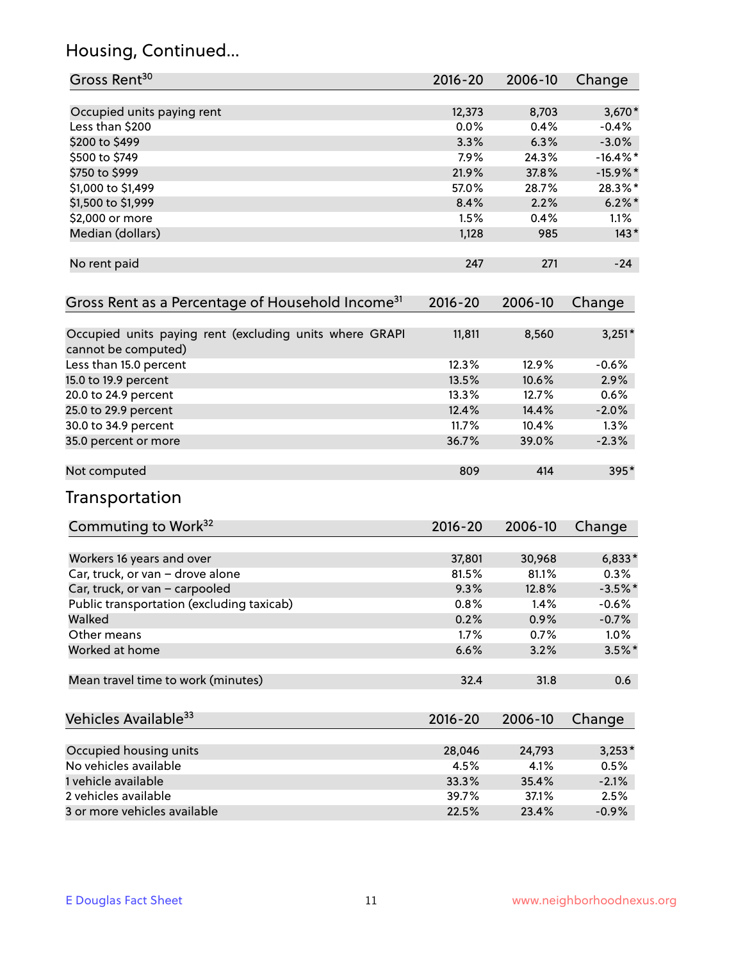# Housing, Continued...

| Gross Rent <sup>30</sup>                                                       | 2016-20     | 2006-10 | Change      |
|--------------------------------------------------------------------------------|-------------|---------|-------------|
| Occupied units paying rent                                                     | 12,373      | 8,703   | $3,670*$    |
| Less than \$200                                                                | 0.0%        | 0.4%    | $-0.4%$     |
| \$200 to \$499                                                                 | 3.3%        | 6.3%    | $-3.0%$     |
| \$500 to \$749                                                                 | 7.9%        | 24.3%   | $-16.4\%$ * |
| \$750 to \$999                                                                 | 21.9%       | 37.8%   | $-15.9\%$ * |
| \$1,000 to \$1,499                                                             | 57.0%       | 28.7%   | 28.3%*      |
| \$1,500 to \$1,999                                                             | 8.4%        | 2.2%    | $6.2\%$ *   |
| \$2,000 or more                                                                | 1.5%        | 0.4%    | 1.1%        |
| Median (dollars)                                                               | 1,128       | 985     | $143*$      |
| No rent paid                                                                   | 247         | 271     | $-24$       |
| Gross Rent as a Percentage of Household Income <sup>31</sup>                   | $2016 - 20$ | 2006-10 | Change      |
| Occupied units paying rent (excluding units where GRAPI<br>cannot be computed) | 11,811      | 8,560   | $3,251*$    |
| Less than 15.0 percent                                                         | 12.3%       | 12.9%   | $-0.6%$     |
| 15.0 to 19.9 percent                                                           | 13.5%       | 10.6%   | 2.9%        |
| 20.0 to 24.9 percent                                                           | 13.3%       | 12.7%   | 0.6%        |
| 25.0 to 29.9 percent                                                           | 12.4%       | 14.4%   | $-2.0%$     |
| 30.0 to 34.9 percent                                                           | 11.7%       | 10.4%   | 1.3%        |
| 35.0 percent or more                                                           | 36.7%       | 39.0%   | $-2.3%$     |
| Not computed                                                                   | 809         | 414     | 395*        |
| Transportation                                                                 |             |         |             |
| Commuting to Work <sup>32</sup>                                                | 2016-20     | 2006-10 | Change      |
| Workers 16 years and over                                                      | 37,801      | 30,968  | $6,833*$    |
| Car, truck, or van - drove alone                                               | 81.5%       | 81.1%   | 0.3%        |
| Car, truck, or van - carpooled                                                 | 9.3%        | 12.8%   | $-3.5%$ *   |
| Public transportation (excluding taxicab)                                      | 0.8%        | 1.4%    | $-0.6%$     |
| Walked                                                                         | 0.2%        | 0.9%    | $-0.7%$     |
| Other means                                                                    | 1.7%        | 0.7%    | 1.0%        |
| Worked at home                                                                 | 6.6%        | 3.2%    | $3.5\%$ *   |
| Mean travel time to work (minutes)                                             | 32.4        | 31.8    | 0.6         |
| Vehicles Available <sup>33</sup>                                               | 2016-20     | 2006-10 | Change      |
| Occupied housing units                                                         | 28,046      | 24,793  | $3,253*$    |
| No vehicles available                                                          | 4.5%        | 4.1%    | 0.5%        |
| 1 vehicle available                                                            | 33.3%       | 35.4%   | $-2.1%$     |
| 2 vehicles available                                                           | 39.7%       | 37.1%   | 2.5%        |
| 3 or more vehicles available                                                   | 22.5%       | 23.4%   | $-0.9%$     |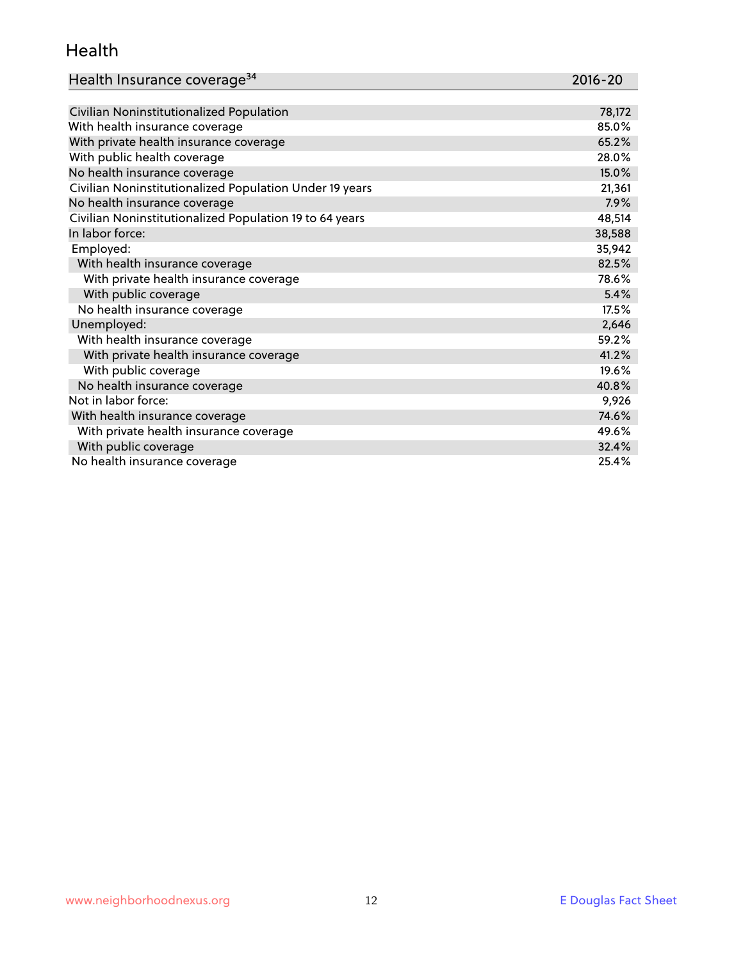### Health

| Health Insurance coverage <sup>34</sup> | 2016-20 |
|-----------------------------------------|---------|
|-----------------------------------------|---------|

| Civilian Noninstitutionalized Population                | 78,172 |
|---------------------------------------------------------|--------|
| With health insurance coverage                          | 85.0%  |
| With private health insurance coverage                  | 65.2%  |
| With public health coverage                             | 28.0%  |
| No health insurance coverage                            | 15.0%  |
| Civilian Noninstitutionalized Population Under 19 years | 21,361 |
| No health insurance coverage                            | 7.9%   |
| Civilian Noninstitutionalized Population 19 to 64 years | 48,514 |
| In labor force:                                         | 38,588 |
| Employed:                                               | 35,942 |
| With health insurance coverage                          | 82.5%  |
| With private health insurance coverage                  | 78.6%  |
| With public coverage                                    | 5.4%   |
| No health insurance coverage                            | 17.5%  |
| Unemployed:                                             | 2,646  |
| With health insurance coverage                          | 59.2%  |
| With private health insurance coverage                  | 41.2%  |
| With public coverage                                    | 19.6%  |
| No health insurance coverage                            | 40.8%  |
| Not in labor force:                                     | 9,926  |
| With health insurance coverage                          | 74.6%  |
| With private health insurance coverage                  | 49.6%  |
| With public coverage                                    | 32.4%  |
| No health insurance coverage                            | 25.4%  |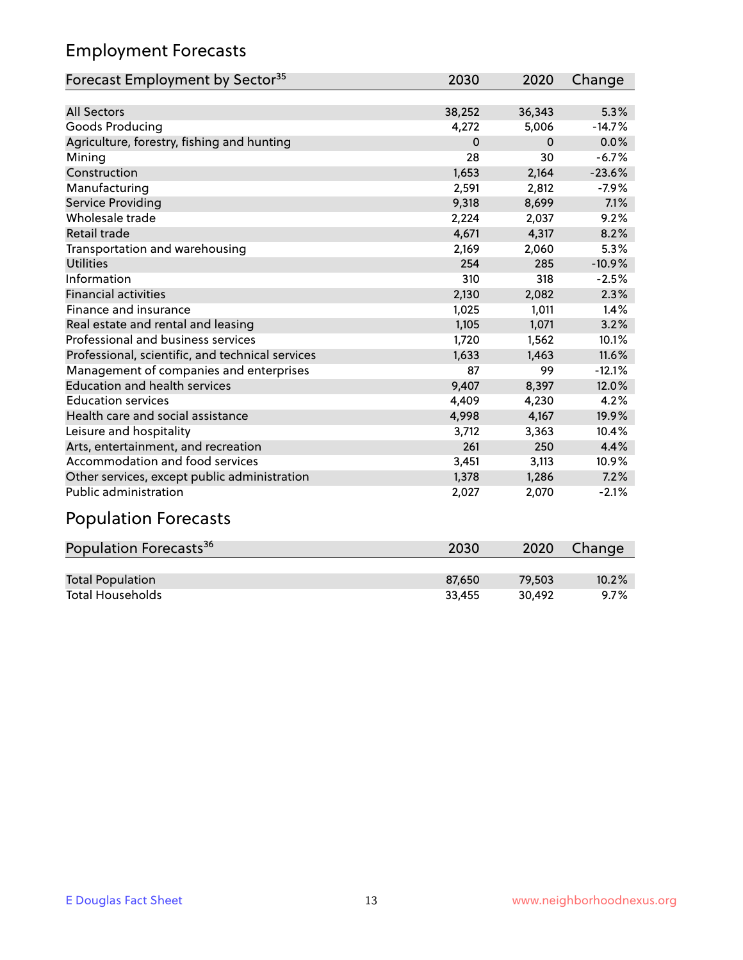# Employment Forecasts

| Forecast Employment by Sector <sup>35</sup>      | 2030     | 2020     | Change   |
|--------------------------------------------------|----------|----------|----------|
|                                                  |          |          |          |
| <b>All Sectors</b>                               | 38,252   | 36,343   | 5.3%     |
| Goods Producing                                  | 4,272    | 5,006    | $-14.7%$ |
| Agriculture, forestry, fishing and hunting       | $\Omega$ | $\Omega$ | 0.0%     |
| Mining                                           | 28       | 30       | $-6.7%$  |
| Construction                                     | 1,653    | 2,164    | $-23.6%$ |
| Manufacturing                                    | 2,591    | 2,812    | $-7.9%$  |
| Service Providing                                | 9,318    | 8,699    | 7.1%     |
| Wholesale trade                                  | 2,224    | 2,037    | 9.2%     |
| Retail trade                                     | 4,671    | 4,317    | 8.2%     |
| Transportation and warehousing                   | 2,169    | 2,060    | 5.3%     |
| <b>Utilities</b>                                 | 254      | 285      | $-10.9%$ |
| Information                                      | 310      | 318      | $-2.5%$  |
| <b>Financial activities</b>                      | 2,130    | 2,082    | 2.3%     |
| Finance and insurance                            | 1,025    | 1,011    | 1.4%     |
| Real estate and rental and leasing               | 1,105    | 1,071    | 3.2%     |
| Professional and business services               | 1,720    | 1,562    | 10.1%    |
| Professional, scientific, and technical services | 1,633    | 1,463    | 11.6%    |
| Management of companies and enterprises          | 87       | 99       | $-12.1%$ |
| <b>Education and health services</b>             | 9,407    | 8,397    | 12.0%    |
| <b>Education services</b>                        | 4,409    | 4,230    | 4.2%     |
| Health care and social assistance                | 4,998    | 4,167    | 19.9%    |
| Leisure and hospitality                          | 3,712    | 3,363    | 10.4%    |
| Arts, entertainment, and recreation              | 261      | 250      | 4.4%     |
| Accommodation and food services                  | 3,451    | 3,113    | 10.9%    |
| Other services, except public administration     | 1,378    | 1,286    | 7.2%     |
| <b>Public administration</b>                     | 2,027    | 2,070    | $-2.1%$  |

# Population Forecasts

| Population Forecasts <sup>36</sup> | 2030   | 2020   | Change  |
|------------------------------------|--------|--------|---------|
|                                    |        |        |         |
| <b>Total Population</b>            | 87.650 | 79.503 | 10.2%   |
| <b>Total Households</b>            | 33.455 | 30.492 | $9.7\%$ |